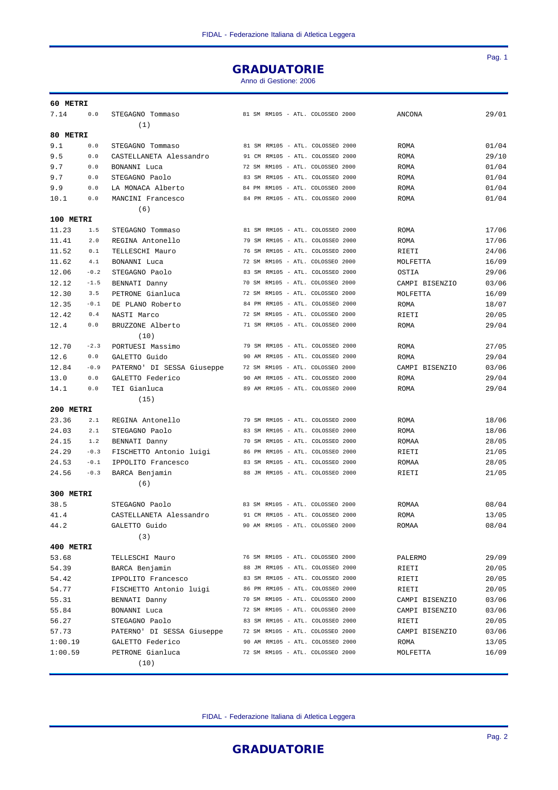## GRADUATORIE

Anno di Gestione: 2006

| 7.14<br>0.0<br>81 SM RM105 - ATL. COLOSSEO 2000<br>ANCONA<br>29/01<br>STEGAGNO Tommaso<br>(1)<br>80 METRI<br>81 SM RM105 - ATL. COLOSSEO 2000<br>01/04<br>9.1<br>0.0<br>STEGAGNO Tommaso<br>ROMA<br>9.5<br>0.0<br>CASTELLANETA Alessandro<br>91 CM RM105 - ATL. COLOSSEO 2000<br>ROMA<br>29/10<br>9.7<br>$0.0$<br>72 SM RM105 - ATL. COLOSSEO 2000<br>01/04<br>BONANNI Luca<br><b>ROMA</b><br>9.7<br>0.0<br>STEGAGNO Paolo<br>83 SM RM105 - ATL. COLOSSEO 2000<br>ROMA<br>01/04<br>84 PM RM105 - ATL. COLOSSEO 2000<br>01/04<br>9.9<br>0.0<br>LA MONACA Alberto<br>ROMA<br>84 PM RM105 - ATL. COLOSSEO 2000<br>01/04<br>0.0<br>MANCINI Francesco<br>ROMA<br>10.1<br>(6)<br>100 METRI<br>17/06<br>11.23<br>1.5<br>STEGAGNO Tommaso<br>81 SM RM105 - ATL. COLOSSEO 2000<br>ROMA<br>79 SM RM105 - ATL. COLOSSEO 2000<br>17/06<br>11.41<br>2.0<br>REGINA Antonello<br>ROMA<br>11.52<br>0.1<br>TELLESCHI Mauro<br>76 SM RM105 - ATL. COLOSSEO 2000<br>24/06<br>RIETI<br>72 SM RM105 - ATL. COLOSSEO 2000<br>11.62<br>4.1<br>BONANNI Luca<br>16/09<br>MOLFETTA<br>12.06<br>$-0.2$<br>STEGAGNO Paolo<br>83 SM RM105 - ATL. COLOSSEO 2000<br>29/06<br>OSTIA<br>70 SM RM105 - ATL. COLOSSEO 2000<br>12.12<br>$-1.5$<br>BENNATI Danny<br>CAMPI BISENZIO<br>03/06<br>12.30<br>72 SM RM105 - ATL. COLOSSEO 2000<br>3.5<br>PETRONE Gianluca<br>16/09<br>MOLFETTA<br>12.35<br>$-0.1$<br>84 PM RM105 - ATL. COLOSSEO 2000<br>DE PLANO Roberto<br>ROMA<br>18/07<br>72 SM RM105 - ATL. COLOSSEO 2000<br>12.42<br>0.4<br>NASTI Marco<br>RIETI<br>20/05<br>0.0<br>71 SM RM105 - ATL. COLOSSEO 2000<br>29/04<br>12.4<br>BRUZZONE Alberto<br>ROMA<br>(10)<br>$-2.3$<br>79 SM RM105 - ATL. COLOSSEO 2000<br>27/05<br>12.70<br>PORTUESI Massimo<br>ROMA<br>12.6<br>0.0<br>GALETTO Guido<br>90 AM RM105 - ATL. COLOSSEO 2000<br>29/04<br>ROMA<br>72 SM RM105 - ATL. COLOSSEO 2000<br>12.84<br>$-0.9$<br>PATERNO' DI SESSA Giuseppe<br>CAMPI BISENZIO<br>03/06<br>90 AM RM105 - ATL. COLOSSEO 2000<br>13.0<br>0.0<br>GALETTO Federico<br>29/04<br>ROMA<br>89 AM RM105 - ATL. COLOSSEO 2000<br>29/04<br>14.1<br>0.0<br>TEI Gianluca<br>ROMA<br>(15)<br>200 METRI<br>23.36<br>18/06<br>2.1<br>REGINA Antonello<br>79 SM RM105 - ATL. COLOSSEO 2000<br>ROMA<br>24.03<br>2.1<br>STEGAGNO Paolo<br>83 SM RM105 - ATL. COLOSSEO 2000<br>ROMA<br>18/06<br>24.15<br>1.2<br>70 SM RM105 - ATL. COLOSSEO 2000<br>28/05<br>BENNATI Danny<br>ROMAA<br>86 PM RM105 - ATL. COLOSSEO 2000<br>24.29<br>$-0.3$<br>FISCHETTO Antonio luigi<br>21/05<br>RIETI<br>83 SM RM105 - ATL. COLOSSEO 2000<br>24.53<br>$-0.1$<br>28/05<br>IPPOLITO Francesco<br>ROMAA<br>88 JM RM105 - ATL. COLOSSEO 2000<br>24.56<br>$-0.3$<br>21/05<br>BARCA Benjamin<br>RIETI<br>(6)<br>300 METRI<br>38.5<br>STEGAGNO Paolo<br>83 SM RM105 - ATL. COLOSSEO 2000<br>08/04<br>ROMAA<br>91 CM RM105 - ATL. COLOSSEO 2000<br>13/05<br>CASTELLANETA Alessandro<br><b>ROMA</b><br>41.4<br>44.2<br>90 AM RM105 - ATL. COLOSSEO 2000<br>08/04<br>GALETTO Guido<br>ROMAA<br>(3)<br>400 METRI<br>76 SM RM105 - ATL. COLOSSEO 2000<br>29/09<br>53.68<br>TELLESCHI Mauro<br>PALERMO<br>54.39<br>88 JM RM105 - ATL. COLOSSEO 2000<br>20/05<br>BARCA Benjamin<br>RIETI<br>83 SM RM105 - ATL. COLOSSEO 2000<br>20/05<br>54.42<br>IPPOLITO Francesco<br>RIETI<br>54.77<br>86 PM RM105 - ATL. COLOSSEO 2000<br>20/05<br>FISCHETTO Antonio luigi<br>RIETI<br>70 SM RM105 - ATL. COLOSSEO 2000<br>55.31<br>BENNATI Danny<br>CAMPI BISENZIO<br>03/06<br>72 SM RM105 - ATL. COLOSSEO 2000<br>55.84<br>03/06<br>BONANNI Luca<br>CAMPI BISENZIO<br>83 SM RM105 - ATL. COLOSSEO 2000<br>56.27<br>STEGAGNO Paolo<br>20/05<br>RIETI<br>72 SM RM105 - ATL. COLOSSEO 2000<br>57.73<br>PATERNO' DI SESSA Giuseppe<br>03/06<br>CAMPI BISENZIO<br>90 AM RM105 - ATL. COLOSSEO 2000<br>1:00.19<br>GALETTO Federico<br>13/05<br>ROMA<br>1:00.59<br>PETRONE Gianluca<br>72 SM RM105 - ATL. COLOSSEO 2000<br>16/09<br>MOLFETTA<br>(10) | 60 METRI |  |  |  |  |  |  |
|-----------------------------------------------------------------------------------------------------------------------------------------------------------------------------------------------------------------------------------------------------------------------------------------------------------------------------------------------------------------------------------------------------------------------------------------------------------------------------------------------------------------------------------------------------------------------------------------------------------------------------------------------------------------------------------------------------------------------------------------------------------------------------------------------------------------------------------------------------------------------------------------------------------------------------------------------------------------------------------------------------------------------------------------------------------------------------------------------------------------------------------------------------------------------------------------------------------------------------------------------------------------------------------------------------------------------------------------------------------------------------------------------------------------------------------------------------------------------------------------------------------------------------------------------------------------------------------------------------------------------------------------------------------------------------------------------------------------------------------------------------------------------------------------------------------------------------------------------------------------------------------------------------------------------------------------------------------------------------------------------------------------------------------------------------------------------------------------------------------------------------------------------------------------------------------------------------------------------------------------------------------------------------------------------------------------------------------------------------------------------------------------------------------------------------------------------------------------------------------------------------------------------------------------------------------------------------------------------------------------------------------------------------------------------------------------------------------------------------------------------------------------------------------------------------------------------------------------------------------------------------------------------------------------------------------------------------------------------------------------------------------------------------------------------------------------------------------------------------------------------------------------------------------------------------------------------------------------------------------------------------------------------------------------------------------------------------------------------------------------------------------------------------------------------------------------------------------------------------------------------------------------------------------------------------------------------------------------------------------------------------------------------------------------------------------------------------------------------------------------------------------------------------------------------------------------------------------------------------------------------------------------------------------------------------------|----------|--|--|--|--|--|--|
|                                                                                                                                                                                                                                                                                                                                                                                                                                                                                                                                                                                                                                                                                                                                                                                                                                                                                                                                                                                                                                                                                                                                                                                                                                                                                                                                                                                                                                                                                                                                                                                                                                                                                                                                                                                                                                                                                                                                                                                                                                                                                                                                                                                                                                                                                                                                                                                                                                                                                                                                                                                                                                                                                                                                                                                                                                                                                                                                                                                                                                                                                                                                                                                                                                                                                                                                                                                                                                                                                                                                                                                                                                                                                                                                                                                                                                                                                                                                   |          |  |  |  |  |  |  |
|                                                                                                                                                                                                                                                                                                                                                                                                                                                                                                                                                                                                                                                                                                                                                                                                                                                                                                                                                                                                                                                                                                                                                                                                                                                                                                                                                                                                                                                                                                                                                                                                                                                                                                                                                                                                                                                                                                                                                                                                                                                                                                                                                                                                                                                                                                                                                                                                                                                                                                                                                                                                                                                                                                                                                                                                                                                                                                                                                                                                                                                                                                                                                                                                                                                                                                                                                                                                                                                                                                                                                                                                                                                                                                                                                                                                                                                                                                                                   |          |  |  |  |  |  |  |
|                                                                                                                                                                                                                                                                                                                                                                                                                                                                                                                                                                                                                                                                                                                                                                                                                                                                                                                                                                                                                                                                                                                                                                                                                                                                                                                                                                                                                                                                                                                                                                                                                                                                                                                                                                                                                                                                                                                                                                                                                                                                                                                                                                                                                                                                                                                                                                                                                                                                                                                                                                                                                                                                                                                                                                                                                                                                                                                                                                                                                                                                                                                                                                                                                                                                                                                                                                                                                                                                                                                                                                                                                                                                                                                                                                                                                                                                                                                                   |          |  |  |  |  |  |  |
|                                                                                                                                                                                                                                                                                                                                                                                                                                                                                                                                                                                                                                                                                                                                                                                                                                                                                                                                                                                                                                                                                                                                                                                                                                                                                                                                                                                                                                                                                                                                                                                                                                                                                                                                                                                                                                                                                                                                                                                                                                                                                                                                                                                                                                                                                                                                                                                                                                                                                                                                                                                                                                                                                                                                                                                                                                                                                                                                                                                                                                                                                                                                                                                                                                                                                                                                                                                                                                                                                                                                                                                                                                                                                                                                                                                                                                                                                                                                   |          |  |  |  |  |  |  |
|                                                                                                                                                                                                                                                                                                                                                                                                                                                                                                                                                                                                                                                                                                                                                                                                                                                                                                                                                                                                                                                                                                                                                                                                                                                                                                                                                                                                                                                                                                                                                                                                                                                                                                                                                                                                                                                                                                                                                                                                                                                                                                                                                                                                                                                                                                                                                                                                                                                                                                                                                                                                                                                                                                                                                                                                                                                                                                                                                                                                                                                                                                                                                                                                                                                                                                                                                                                                                                                                                                                                                                                                                                                                                                                                                                                                                                                                                                                                   |          |  |  |  |  |  |  |
|                                                                                                                                                                                                                                                                                                                                                                                                                                                                                                                                                                                                                                                                                                                                                                                                                                                                                                                                                                                                                                                                                                                                                                                                                                                                                                                                                                                                                                                                                                                                                                                                                                                                                                                                                                                                                                                                                                                                                                                                                                                                                                                                                                                                                                                                                                                                                                                                                                                                                                                                                                                                                                                                                                                                                                                                                                                                                                                                                                                                                                                                                                                                                                                                                                                                                                                                                                                                                                                                                                                                                                                                                                                                                                                                                                                                                                                                                                                                   |          |  |  |  |  |  |  |
|                                                                                                                                                                                                                                                                                                                                                                                                                                                                                                                                                                                                                                                                                                                                                                                                                                                                                                                                                                                                                                                                                                                                                                                                                                                                                                                                                                                                                                                                                                                                                                                                                                                                                                                                                                                                                                                                                                                                                                                                                                                                                                                                                                                                                                                                                                                                                                                                                                                                                                                                                                                                                                                                                                                                                                                                                                                                                                                                                                                                                                                                                                                                                                                                                                                                                                                                                                                                                                                                                                                                                                                                                                                                                                                                                                                                                                                                                                                                   |          |  |  |  |  |  |  |
|                                                                                                                                                                                                                                                                                                                                                                                                                                                                                                                                                                                                                                                                                                                                                                                                                                                                                                                                                                                                                                                                                                                                                                                                                                                                                                                                                                                                                                                                                                                                                                                                                                                                                                                                                                                                                                                                                                                                                                                                                                                                                                                                                                                                                                                                                                                                                                                                                                                                                                                                                                                                                                                                                                                                                                                                                                                                                                                                                                                                                                                                                                                                                                                                                                                                                                                                                                                                                                                                                                                                                                                                                                                                                                                                                                                                                                                                                                                                   |          |  |  |  |  |  |  |
|                                                                                                                                                                                                                                                                                                                                                                                                                                                                                                                                                                                                                                                                                                                                                                                                                                                                                                                                                                                                                                                                                                                                                                                                                                                                                                                                                                                                                                                                                                                                                                                                                                                                                                                                                                                                                                                                                                                                                                                                                                                                                                                                                                                                                                                                                                                                                                                                                                                                                                                                                                                                                                                                                                                                                                                                                                                                                                                                                                                                                                                                                                                                                                                                                                                                                                                                                                                                                                                                                                                                                                                                                                                                                                                                                                                                                                                                                                                                   |          |  |  |  |  |  |  |
|                                                                                                                                                                                                                                                                                                                                                                                                                                                                                                                                                                                                                                                                                                                                                                                                                                                                                                                                                                                                                                                                                                                                                                                                                                                                                                                                                                                                                                                                                                                                                                                                                                                                                                                                                                                                                                                                                                                                                                                                                                                                                                                                                                                                                                                                                                                                                                                                                                                                                                                                                                                                                                                                                                                                                                                                                                                                                                                                                                                                                                                                                                                                                                                                                                                                                                                                                                                                                                                                                                                                                                                                                                                                                                                                                                                                                                                                                                                                   |          |  |  |  |  |  |  |
|                                                                                                                                                                                                                                                                                                                                                                                                                                                                                                                                                                                                                                                                                                                                                                                                                                                                                                                                                                                                                                                                                                                                                                                                                                                                                                                                                                                                                                                                                                                                                                                                                                                                                                                                                                                                                                                                                                                                                                                                                                                                                                                                                                                                                                                                                                                                                                                                                                                                                                                                                                                                                                                                                                                                                                                                                                                                                                                                                                                                                                                                                                                                                                                                                                                                                                                                                                                                                                                                                                                                                                                                                                                                                                                                                                                                                                                                                                                                   |          |  |  |  |  |  |  |
|                                                                                                                                                                                                                                                                                                                                                                                                                                                                                                                                                                                                                                                                                                                                                                                                                                                                                                                                                                                                                                                                                                                                                                                                                                                                                                                                                                                                                                                                                                                                                                                                                                                                                                                                                                                                                                                                                                                                                                                                                                                                                                                                                                                                                                                                                                                                                                                                                                                                                                                                                                                                                                                                                                                                                                                                                                                                                                                                                                                                                                                                                                                                                                                                                                                                                                                                                                                                                                                                                                                                                                                                                                                                                                                                                                                                                                                                                                                                   |          |  |  |  |  |  |  |
|                                                                                                                                                                                                                                                                                                                                                                                                                                                                                                                                                                                                                                                                                                                                                                                                                                                                                                                                                                                                                                                                                                                                                                                                                                                                                                                                                                                                                                                                                                                                                                                                                                                                                                                                                                                                                                                                                                                                                                                                                                                                                                                                                                                                                                                                                                                                                                                                                                                                                                                                                                                                                                                                                                                                                                                                                                                                                                                                                                                                                                                                                                                                                                                                                                                                                                                                                                                                                                                                                                                                                                                                                                                                                                                                                                                                                                                                                                                                   |          |  |  |  |  |  |  |
|                                                                                                                                                                                                                                                                                                                                                                                                                                                                                                                                                                                                                                                                                                                                                                                                                                                                                                                                                                                                                                                                                                                                                                                                                                                                                                                                                                                                                                                                                                                                                                                                                                                                                                                                                                                                                                                                                                                                                                                                                                                                                                                                                                                                                                                                                                                                                                                                                                                                                                                                                                                                                                                                                                                                                                                                                                                                                                                                                                                                                                                                                                                                                                                                                                                                                                                                                                                                                                                                                                                                                                                                                                                                                                                                                                                                                                                                                                                                   |          |  |  |  |  |  |  |
|                                                                                                                                                                                                                                                                                                                                                                                                                                                                                                                                                                                                                                                                                                                                                                                                                                                                                                                                                                                                                                                                                                                                                                                                                                                                                                                                                                                                                                                                                                                                                                                                                                                                                                                                                                                                                                                                                                                                                                                                                                                                                                                                                                                                                                                                                                                                                                                                                                                                                                                                                                                                                                                                                                                                                                                                                                                                                                                                                                                                                                                                                                                                                                                                                                                                                                                                                                                                                                                                                                                                                                                                                                                                                                                                                                                                                                                                                                                                   |          |  |  |  |  |  |  |
|                                                                                                                                                                                                                                                                                                                                                                                                                                                                                                                                                                                                                                                                                                                                                                                                                                                                                                                                                                                                                                                                                                                                                                                                                                                                                                                                                                                                                                                                                                                                                                                                                                                                                                                                                                                                                                                                                                                                                                                                                                                                                                                                                                                                                                                                                                                                                                                                                                                                                                                                                                                                                                                                                                                                                                                                                                                                                                                                                                                                                                                                                                                                                                                                                                                                                                                                                                                                                                                                                                                                                                                                                                                                                                                                                                                                                                                                                                                                   |          |  |  |  |  |  |  |
|                                                                                                                                                                                                                                                                                                                                                                                                                                                                                                                                                                                                                                                                                                                                                                                                                                                                                                                                                                                                                                                                                                                                                                                                                                                                                                                                                                                                                                                                                                                                                                                                                                                                                                                                                                                                                                                                                                                                                                                                                                                                                                                                                                                                                                                                                                                                                                                                                                                                                                                                                                                                                                                                                                                                                                                                                                                                                                                                                                                                                                                                                                                                                                                                                                                                                                                                                                                                                                                                                                                                                                                                                                                                                                                                                                                                                                                                                                                                   |          |  |  |  |  |  |  |
|                                                                                                                                                                                                                                                                                                                                                                                                                                                                                                                                                                                                                                                                                                                                                                                                                                                                                                                                                                                                                                                                                                                                                                                                                                                                                                                                                                                                                                                                                                                                                                                                                                                                                                                                                                                                                                                                                                                                                                                                                                                                                                                                                                                                                                                                                                                                                                                                                                                                                                                                                                                                                                                                                                                                                                                                                                                                                                                                                                                                                                                                                                                                                                                                                                                                                                                                                                                                                                                                                                                                                                                                                                                                                                                                                                                                                                                                                                                                   |          |  |  |  |  |  |  |
|                                                                                                                                                                                                                                                                                                                                                                                                                                                                                                                                                                                                                                                                                                                                                                                                                                                                                                                                                                                                                                                                                                                                                                                                                                                                                                                                                                                                                                                                                                                                                                                                                                                                                                                                                                                                                                                                                                                                                                                                                                                                                                                                                                                                                                                                                                                                                                                                                                                                                                                                                                                                                                                                                                                                                                                                                                                                                                                                                                                                                                                                                                                                                                                                                                                                                                                                                                                                                                                                                                                                                                                                                                                                                                                                                                                                                                                                                                                                   |          |  |  |  |  |  |  |
|                                                                                                                                                                                                                                                                                                                                                                                                                                                                                                                                                                                                                                                                                                                                                                                                                                                                                                                                                                                                                                                                                                                                                                                                                                                                                                                                                                                                                                                                                                                                                                                                                                                                                                                                                                                                                                                                                                                                                                                                                                                                                                                                                                                                                                                                                                                                                                                                                                                                                                                                                                                                                                                                                                                                                                                                                                                                                                                                                                                                                                                                                                                                                                                                                                                                                                                                                                                                                                                                                                                                                                                                                                                                                                                                                                                                                                                                                                                                   |          |  |  |  |  |  |  |
|                                                                                                                                                                                                                                                                                                                                                                                                                                                                                                                                                                                                                                                                                                                                                                                                                                                                                                                                                                                                                                                                                                                                                                                                                                                                                                                                                                                                                                                                                                                                                                                                                                                                                                                                                                                                                                                                                                                                                                                                                                                                                                                                                                                                                                                                                                                                                                                                                                                                                                                                                                                                                                                                                                                                                                                                                                                                                                                                                                                                                                                                                                                                                                                                                                                                                                                                                                                                                                                                                                                                                                                                                                                                                                                                                                                                                                                                                                                                   |          |  |  |  |  |  |  |
|                                                                                                                                                                                                                                                                                                                                                                                                                                                                                                                                                                                                                                                                                                                                                                                                                                                                                                                                                                                                                                                                                                                                                                                                                                                                                                                                                                                                                                                                                                                                                                                                                                                                                                                                                                                                                                                                                                                                                                                                                                                                                                                                                                                                                                                                                                                                                                                                                                                                                                                                                                                                                                                                                                                                                                                                                                                                                                                                                                                                                                                                                                                                                                                                                                                                                                                                                                                                                                                                                                                                                                                                                                                                                                                                                                                                                                                                                                                                   |          |  |  |  |  |  |  |
|                                                                                                                                                                                                                                                                                                                                                                                                                                                                                                                                                                                                                                                                                                                                                                                                                                                                                                                                                                                                                                                                                                                                                                                                                                                                                                                                                                                                                                                                                                                                                                                                                                                                                                                                                                                                                                                                                                                                                                                                                                                                                                                                                                                                                                                                                                                                                                                                                                                                                                                                                                                                                                                                                                                                                                                                                                                                                                                                                                                                                                                                                                                                                                                                                                                                                                                                                                                                                                                                                                                                                                                                                                                                                                                                                                                                                                                                                                                                   |          |  |  |  |  |  |  |
|                                                                                                                                                                                                                                                                                                                                                                                                                                                                                                                                                                                                                                                                                                                                                                                                                                                                                                                                                                                                                                                                                                                                                                                                                                                                                                                                                                                                                                                                                                                                                                                                                                                                                                                                                                                                                                                                                                                                                                                                                                                                                                                                                                                                                                                                                                                                                                                                                                                                                                                                                                                                                                                                                                                                                                                                                                                                                                                                                                                                                                                                                                                                                                                                                                                                                                                                                                                                                                                                                                                                                                                                                                                                                                                                                                                                                                                                                                                                   |          |  |  |  |  |  |  |
|                                                                                                                                                                                                                                                                                                                                                                                                                                                                                                                                                                                                                                                                                                                                                                                                                                                                                                                                                                                                                                                                                                                                                                                                                                                                                                                                                                                                                                                                                                                                                                                                                                                                                                                                                                                                                                                                                                                                                                                                                                                                                                                                                                                                                                                                                                                                                                                                                                                                                                                                                                                                                                                                                                                                                                                                                                                                                                                                                                                                                                                                                                                                                                                                                                                                                                                                                                                                                                                                                                                                                                                                                                                                                                                                                                                                                                                                                                                                   |          |  |  |  |  |  |  |
|                                                                                                                                                                                                                                                                                                                                                                                                                                                                                                                                                                                                                                                                                                                                                                                                                                                                                                                                                                                                                                                                                                                                                                                                                                                                                                                                                                                                                                                                                                                                                                                                                                                                                                                                                                                                                                                                                                                                                                                                                                                                                                                                                                                                                                                                                                                                                                                                                                                                                                                                                                                                                                                                                                                                                                                                                                                                                                                                                                                                                                                                                                                                                                                                                                                                                                                                                                                                                                                                                                                                                                                                                                                                                                                                                                                                                                                                                                                                   |          |  |  |  |  |  |  |
|                                                                                                                                                                                                                                                                                                                                                                                                                                                                                                                                                                                                                                                                                                                                                                                                                                                                                                                                                                                                                                                                                                                                                                                                                                                                                                                                                                                                                                                                                                                                                                                                                                                                                                                                                                                                                                                                                                                                                                                                                                                                                                                                                                                                                                                                                                                                                                                                                                                                                                                                                                                                                                                                                                                                                                                                                                                                                                                                                                                                                                                                                                                                                                                                                                                                                                                                                                                                                                                                                                                                                                                                                                                                                                                                                                                                                                                                                                                                   |          |  |  |  |  |  |  |
|                                                                                                                                                                                                                                                                                                                                                                                                                                                                                                                                                                                                                                                                                                                                                                                                                                                                                                                                                                                                                                                                                                                                                                                                                                                                                                                                                                                                                                                                                                                                                                                                                                                                                                                                                                                                                                                                                                                                                                                                                                                                                                                                                                                                                                                                                                                                                                                                                                                                                                                                                                                                                                                                                                                                                                                                                                                                                                                                                                                                                                                                                                                                                                                                                                                                                                                                                                                                                                                                                                                                                                                                                                                                                                                                                                                                                                                                                                                                   |          |  |  |  |  |  |  |
|                                                                                                                                                                                                                                                                                                                                                                                                                                                                                                                                                                                                                                                                                                                                                                                                                                                                                                                                                                                                                                                                                                                                                                                                                                                                                                                                                                                                                                                                                                                                                                                                                                                                                                                                                                                                                                                                                                                                                                                                                                                                                                                                                                                                                                                                                                                                                                                                                                                                                                                                                                                                                                                                                                                                                                                                                                                                                                                                                                                                                                                                                                                                                                                                                                                                                                                                                                                                                                                                                                                                                                                                                                                                                                                                                                                                                                                                                                                                   |          |  |  |  |  |  |  |
|                                                                                                                                                                                                                                                                                                                                                                                                                                                                                                                                                                                                                                                                                                                                                                                                                                                                                                                                                                                                                                                                                                                                                                                                                                                                                                                                                                                                                                                                                                                                                                                                                                                                                                                                                                                                                                                                                                                                                                                                                                                                                                                                                                                                                                                                                                                                                                                                                                                                                                                                                                                                                                                                                                                                                                                                                                                                                                                                                                                                                                                                                                                                                                                                                                                                                                                                                                                                                                                                                                                                                                                                                                                                                                                                                                                                                                                                                                                                   |          |  |  |  |  |  |  |
|                                                                                                                                                                                                                                                                                                                                                                                                                                                                                                                                                                                                                                                                                                                                                                                                                                                                                                                                                                                                                                                                                                                                                                                                                                                                                                                                                                                                                                                                                                                                                                                                                                                                                                                                                                                                                                                                                                                                                                                                                                                                                                                                                                                                                                                                                                                                                                                                                                                                                                                                                                                                                                                                                                                                                                                                                                                                                                                                                                                                                                                                                                                                                                                                                                                                                                                                                                                                                                                                                                                                                                                                                                                                                                                                                                                                                                                                                                                                   |          |  |  |  |  |  |  |
|                                                                                                                                                                                                                                                                                                                                                                                                                                                                                                                                                                                                                                                                                                                                                                                                                                                                                                                                                                                                                                                                                                                                                                                                                                                                                                                                                                                                                                                                                                                                                                                                                                                                                                                                                                                                                                                                                                                                                                                                                                                                                                                                                                                                                                                                                                                                                                                                                                                                                                                                                                                                                                                                                                                                                                                                                                                                                                                                                                                                                                                                                                                                                                                                                                                                                                                                                                                                                                                                                                                                                                                                                                                                                                                                                                                                                                                                                                                                   |          |  |  |  |  |  |  |
|                                                                                                                                                                                                                                                                                                                                                                                                                                                                                                                                                                                                                                                                                                                                                                                                                                                                                                                                                                                                                                                                                                                                                                                                                                                                                                                                                                                                                                                                                                                                                                                                                                                                                                                                                                                                                                                                                                                                                                                                                                                                                                                                                                                                                                                                                                                                                                                                                                                                                                                                                                                                                                                                                                                                                                                                                                                                                                                                                                                                                                                                                                                                                                                                                                                                                                                                                                                                                                                                                                                                                                                                                                                                                                                                                                                                                                                                                                                                   |          |  |  |  |  |  |  |
|                                                                                                                                                                                                                                                                                                                                                                                                                                                                                                                                                                                                                                                                                                                                                                                                                                                                                                                                                                                                                                                                                                                                                                                                                                                                                                                                                                                                                                                                                                                                                                                                                                                                                                                                                                                                                                                                                                                                                                                                                                                                                                                                                                                                                                                                                                                                                                                                                                                                                                                                                                                                                                                                                                                                                                                                                                                                                                                                                                                                                                                                                                                                                                                                                                                                                                                                                                                                                                                                                                                                                                                                                                                                                                                                                                                                                                                                                                                                   |          |  |  |  |  |  |  |
|                                                                                                                                                                                                                                                                                                                                                                                                                                                                                                                                                                                                                                                                                                                                                                                                                                                                                                                                                                                                                                                                                                                                                                                                                                                                                                                                                                                                                                                                                                                                                                                                                                                                                                                                                                                                                                                                                                                                                                                                                                                                                                                                                                                                                                                                                                                                                                                                                                                                                                                                                                                                                                                                                                                                                                                                                                                                                                                                                                                                                                                                                                                                                                                                                                                                                                                                                                                                                                                                                                                                                                                                                                                                                                                                                                                                                                                                                                                                   |          |  |  |  |  |  |  |
|                                                                                                                                                                                                                                                                                                                                                                                                                                                                                                                                                                                                                                                                                                                                                                                                                                                                                                                                                                                                                                                                                                                                                                                                                                                                                                                                                                                                                                                                                                                                                                                                                                                                                                                                                                                                                                                                                                                                                                                                                                                                                                                                                                                                                                                                                                                                                                                                                                                                                                                                                                                                                                                                                                                                                                                                                                                                                                                                                                                                                                                                                                                                                                                                                                                                                                                                                                                                                                                                                                                                                                                                                                                                                                                                                                                                                                                                                                                                   |          |  |  |  |  |  |  |
|                                                                                                                                                                                                                                                                                                                                                                                                                                                                                                                                                                                                                                                                                                                                                                                                                                                                                                                                                                                                                                                                                                                                                                                                                                                                                                                                                                                                                                                                                                                                                                                                                                                                                                                                                                                                                                                                                                                                                                                                                                                                                                                                                                                                                                                                                                                                                                                                                                                                                                                                                                                                                                                                                                                                                                                                                                                                                                                                                                                                                                                                                                                                                                                                                                                                                                                                                                                                                                                                                                                                                                                                                                                                                                                                                                                                                                                                                                                                   |          |  |  |  |  |  |  |
|                                                                                                                                                                                                                                                                                                                                                                                                                                                                                                                                                                                                                                                                                                                                                                                                                                                                                                                                                                                                                                                                                                                                                                                                                                                                                                                                                                                                                                                                                                                                                                                                                                                                                                                                                                                                                                                                                                                                                                                                                                                                                                                                                                                                                                                                                                                                                                                                                                                                                                                                                                                                                                                                                                                                                                                                                                                                                                                                                                                                                                                                                                                                                                                                                                                                                                                                                                                                                                                                                                                                                                                                                                                                                                                                                                                                                                                                                                                                   |          |  |  |  |  |  |  |
|                                                                                                                                                                                                                                                                                                                                                                                                                                                                                                                                                                                                                                                                                                                                                                                                                                                                                                                                                                                                                                                                                                                                                                                                                                                                                                                                                                                                                                                                                                                                                                                                                                                                                                                                                                                                                                                                                                                                                                                                                                                                                                                                                                                                                                                                                                                                                                                                                                                                                                                                                                                                                                                                                                                                                                                                                                                                                                                                                                                                                                                                                                                                                                                                                                                                                                                                                                                                                                                                                                                                                                                                                                                                                                                                                                                                                                                                                                                                   |          |  |  |  |  |  |  |
|                                                                                                                                                                                                                                                                                                                                                                                                                                                                                                                                                                                                                                                                                                                                                                                                                                                                                                                                                                                                                                                                                                                                                                                                                                                                                                                                                                                                                                                                                                                                                                                                                                                                                                                                                                                                                                                                                                                                                                                                                                                                                                                                                                                                                                                                                                                                                                                                                                                                                                                                                                                                                                                                                                                                                                                                                                                                                                                                                                                                                                                                                                                                                                                                                                                                                                                                                                                                                                                                                                                                                                                                                                                                                                                                                                                                                                                                                                                                   |          |  |  |  |  |  |  |
|                                                                                                                                                                                                                                                                                                                                                                                                                                                                                                                                                                                                                                                                                                                                                                                                                                                                                                                                                                                                                                                                                                                                                                                                                                                                                                                                                                                                                                                                                                                                                                                                                                                                                                                                                                                                                                                                                                                                                                                                                                                                                                                                                                                                                                                                                                                                                                                                                                                                                                                                                                                                                                                                                                                                                                                                                                                                                                                                                                                                                                                                                                                                                                                                                                                                                                                                                                                                                                                                                                                                                                                                                                                                                                                                                                                                                                                                                                                                   |          |  |  |  |  |  |  |
|                                                                                                                                                                                                                                                                                                                                                                                                                                                                                                                                                                                                                                                                                                                                                                                                                                                                                                                                                                                                                                                                                                                                                                                                                                                                                                                                                                                                                                                                                                                                                                                                                                                                                                                                                                                                                                                                                                                                                                                                                                                                                                                                                                                                                                                                                                                                                                                                                                                                                                                                                                                                                                                                                                                                                                                                                                                                                                                                                                                                                                                                                                                                                                                                                                                                                                                                                                                                                                                                                                                                                                                                                                                                                                                                                                                                                                                                                                                                   |          |  |  |  |  |  |  |
|                                                                                                                                                                                                                                                                                                                                                                                                                                                                                                                                                                                                                                                                                                                                                                                                                                                                                                                                                                                                                                                                                                                                                                                                                                                                                                                                                                                                                                                                                                                                                                                                                                                                                                                                                                                                                                                                                                                                                                                                                                                                                                                                                                                                                                                                                                                                                                                                                                                                                                                                                                                                                                                                                                                                                                                                                                                                                                                                                                                                                                                                                                                                                                                                                                                                                                                                                                                                                                                                                                                                                                                                                                                                                                                                                                                                                                                                                                                                   |          |  |  |  |  |  |  |
|                                                                                                                                                                                                                                                                                                                                                                                                                                                                                                                                                                                                                                                                                                                                                                                                                                                                                                                                                                                                                                                                                                                                                                                                                                                                                                                                                                                                                                                                                                                                                                                                                                                                                                                                                                                                                                                                                                                                                                                                                                                                                                                                                                                                                                                                                                                                                                                                                                                                                                                                                                                                                                                                                                                                                                                                                                                                                                                                                                                                                                                                                                                                                                                                                                                                                                                                                                                                                                                                                                                                                                                                                                                                                                                                                                                                                                                                                                                                   |          |  |  |  |  |  |  |
|                                                                                                                                                                                                                                                                                                                                                                                                                                                                                                                                                                                                                                                                                                                                                                                                                                                                                                                                                                                                                                                                                                                                                                                                                                                                                                                                                                                                                                                                                                                                                                                                                                                                                                                                                                                                                                                                                                                                                                                                                                                                                                                                                                                                                                                                                                                                                                                                                                                                                                                                                                                                                                                                                                                                                                                                                                                                                                                                                                                                                                                                                                                                                                                                                                                                                                                                                                                                                                                                                                                                                                                                                                                                                                                                                                                                                                                                                                                                   |          |  |  |  |  |  |  |
|                                                                                                                                                                                                                                                                                                                                                                                                                                                                                                                                                                                                                                                                                                                                                                                                                                                                                                                                                                                                                                                                                                                                                                                                                                                                                                                                                                                                                                                                                                                                                                                                                                                                                                                                                                                                                                                                                                                                                                                                                                                                                                                                                                                                                                                                                                                                                                                                                                                                                                                                                                                                                                                                                                                                                                                                                                                                                                                                                                                                                                                                                                                                                                                                                                                                                                                                                                                                                                                                                                                                                                                                                                                                                                                                                                                                                                                                                                                                   |          |  |  |  |  |  |  |
|                                                                                                                                                                                                                                                                                                                                                                                                                                                                                                                                                                                                                                                                                                                                                                                                                                                                                                                                                                                                                                                                                                                                                                                                                                                                                                                                                                                                                                                                                                                                                                                                                                                                                                                                                                                                                                                                                                                                                                                                                                                                                                                                                                                                                                                                                                                                                                                                                                                                                                                                                                                                                                                                                                                                                                                                                                                                                                                                                                                                                                                                                                                                                                                                                                                                                                                                                                                                                                                                                                                                                                                                                                                                                                                                                                                                                                                                                                                                   |          |  |  |  |  |  |  |
|                                                                                                                                                                                                                                                                                                                                                                                                                                                                                                                                                                                                                                                                                                                                                                                                                                                                                                                                                                                                                                                                                                                                                                                                                                                                                                                                                                                                                                                                                                                                                                                                                                                                                                                                                                                                                                                                                                                                                                                                                                                                                                                                                                                                                                                                                                                                                                                                                                                                                                                                                                                                                                                                                                                                                                                                                                                                                                                                                                                                                                                                                                                                                                                                                                                                                                                                                                                                                                                                                                                                                                                                                                                                                                                                                                                                                                                                                                                                   |          |  |  |  |  |  |  |
|                                                                                                                                                                                                                                                                                                                                                                                                                                                                                                                                                                                                                                                                                                                                                                                                                                                                                                                                                                                                                                                                                                                                                                                                                                                                                                                                                                                                                                                                                                                                                                                                                                                                                                                                                                                                                                                                                                                                                                                                                                                                                                                                                                                                                                                                                                                                                                                                                                                                                                                                                                                                                                                                                                                                                                                                                                                                                                                                                                                                                                                                                                                                                                                                                                                                                                                                                                                                                                                                                                                                                                                                                                                                                                                                                                                                                                                                                                                                   |          |  |  |  |  |  |  |
|                                                                                                                                                                                                                                                                                                                                                                                                                                                                                                                                                                                                                                                                                                                                                                                                                                                                                                                                                                                                                                                                                                                                                                                                                                                                                                                                                                                                                                                                                                                                                                                                                                                                                                                                                                                                                                                                                                                                                                                                                                                                                                                                                                                                                                                                                                                                                                                                                                                                                                                                                                                                                                                                                                                                                                                                                                                                                                                                                                                                                                                                                                                                                                                                                                                                                                                                                                                                                                                                                                                                                                                                                                                                                                                                                                                                                                                                                                                                   |          |  |  |  |  |  |  |
|                                                                                                                                                                                                                                                                                                                                                                                                                                                                                                                                                                                                                                                                                                                                                                                                                                                                                                                                                                                                                                                                                                                                                                                                                                                                                                                                                                                                                                                                                                                                                                                                                                                                                                                                                                                                                                                                                                                                                                                                                                                                                                                                                                                                                                                                                                                                                                                                                                                                                                                                                                                                                                                                                                                                                                                                                                                                                                                                                                                                                                                                                                                                                                                                                                                                                                                                                                                                                                                                                                                                                                                                                                                                                                                                                                                                                                                                                                                                   |          |  |  |  |  |  |  |
|                                                                                                                                                                                                                                                                                                                                                                                                                                                                                                                                                                                                                                                                                                                                                                                                                                                                                                                                                                                                                                                                                                                                                                                                                                                                                                                                                                                                                                                                                                                                                                                                                                                                                                                                                                                                                                                                                                                                                                                                                                                                                                                                                                                                                                                                                                                                                                                                                                                                                                                                                                                                                                                                                                                                                                                                                                                                                                                                                                                                                                                                                                                                                                                                                                                                                                                                                                                                                                                                                                                                                                                                                                                                                                                                                                                                                                                                                                                                   |          |  |  |  |  |  |  |

FIDAL - Federazione Italiana di Atletica Leggera

Pag. 1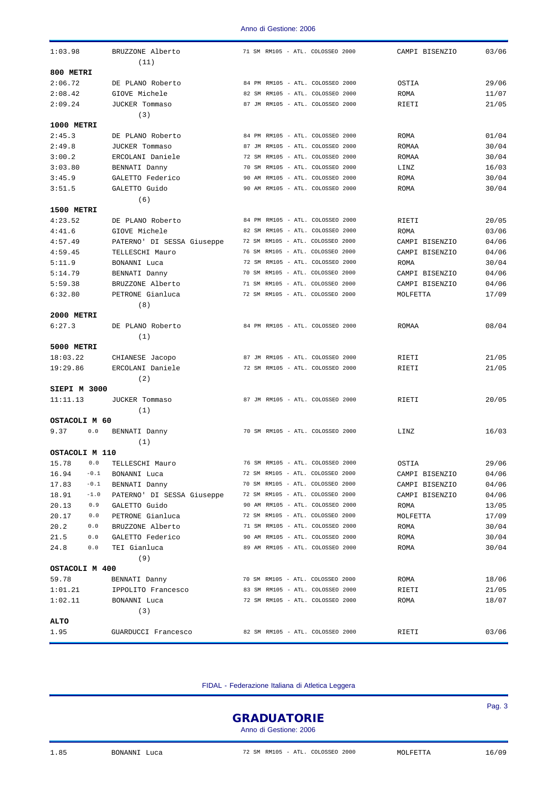| 1:03.98<br>BRUZZONE Alberto<br>71 SM RM105 - ATL. COLOSSEO 2000<br>CAMPI BISENZIO<br>(11)<br>800 METRI<br>2:06.72<br>84 PM RM105 - ATL. COLOSSEO 2000<br>29/06<br>DE PLANO Roberto<br>OSTIA<br>2:08.42<br>GIOVE Michele<br>82 SM RM105 - ATL. COLOSSEO 2000<br>11/07<br>ROMA<br>87 JM RM105 - ATL. COLOSSEO 2000<br>2:09.24<br>JUCKER Tommaso<br>21/05<br>RIETI<br>(3)<br>1000 METRI<br>2:45.3<br>DE PLANO Roberto<br>84 PM RM105 - ATL. COLOSSEO 2000<br>ROMA<br>87 JM RM105 - ATL. COLOSSEO 2000<br>2:49.8<br>JUCKER Tommaso<br>ROMAA<br>3:00.2<br>ERCOLANI Daniele<br>72 SM RM105 - ATL. COLOSSEO 2000<br>ROMAA<br>70 SM RM105 - ATL. COLOSSEO 2000<br>3:03.80<br>BENNATI Danny<br>LINZ<br>3:45.9<br>GALETTO Federico<br>90 AM RM105 - ATL. COLOSSEO 2000<br>ROMA<br>90 AM RM105 - ATL. COLOSSEO 2000<br>3:51.5<br>GALETTO Guido<br>ROMA<br>(6)<br>1500 METRI<br>4:23.52<br>DE PLANO Roberto<br>84 PM RM105 - ATL. COLOSSEO 2000<br>RIETI<br>4:41.6<br>82 SM RM105 - ATL. COLOSSEO 2000<br>GIOVE Michele<br>ROMA<br>4:57.49<br>PATERNO' DI SESSA Giuseppe<br>72 SM RM105 - ATL. COLOSSEO 2000<br>CAMPI BISENZIO<br>4:59.45<br>76 SM RM105 - ATL. COLOSSEO 2000<br>TELLESCHI Mauro<br>CAMPI BISENZIO<br>5:11.9<br>BONANNI Luca<br>72 SM RM105 - ATL. COLOSSEO 2000<br>ROMA<br>70 SM RM105 - ATL. COLOSSEO 2000<br>5:14.79<br>BENNATI Danny<br>CAMPI BISENZIO<br>5:59.38<br>BRUZZONE Alberto<br>71 SM RM105 - ATL. COLOSSEO 2000<br>CAMPI BISENZIO<br>72 SM RM105 - ATL. COLOSSEO 2000<br>6:32.80<br>PETRONE Gianluca<br>MOLFETTA<br>(8)<br>2000 METRI<br>6:27.3<br>DE PLANO Roberto<br>84 PM RM105 - ATL. COLOSSEO 2000<br>ROMAA<br>(1)<br><b>5000 METRI</b><br>87 JM RM105 - ATL. COLOSSEO 2000<br>18:03.22<br>CHIANESE Jacopo<br>RIETI<br>19:29.86<br>ERCOLANI Daniele<br>72 SM RM105 - ATL. COLOSSEO 2000<br>RIETI<br>(2)<br>SIEPI M 3000<br>87 JM RM105 - ATL. COLOSSEO 2000<br>11:11.13<br>JUCKER Tommaso<br>RIETI<br>(1)<br>OSTACOLI M 60<br>70 SM RM105 - ATL. COLOSSEO 2000<br>9.37<br>0.0<br>BENNATI Danny<br>LINZ<br>(1)<br>OSTACOLI M 110<br>15.78<br>0.0<br>76 SM RM105 - ATL. COLOSSEO 2000<br>29/06<br>TELLESCHI Mauro<br>OSTIA<br>16.94<br>72 SM RM105 - ATL. COLOSSEO 2000<br>$-0.1$<br>BONANNI Luca<br>CAMPI BISENZIO<br>04/06<br>17.83<br>70 SM RM105 - ATL. COLOSSEO 2000<br>$-0.1$<br>BENNATI Danny<br>04/06<br>CAMPI BISENZIO<br>PATERNO' DI SESSA Giuseppe 72 SM RM105 - ATL. COLOSSEO 2000<br>18.91<br>$-1.0$<br>CAMPI BISENZIO<br>04/06<br>20.13<br>0.9<br>90 AM RM105 - ATL. COLOSSEO 2000<br>GALETTO Guido<br>13/05<br>ROMA<br>20.17<br>0.0<br>PETRONE Gianluca<br>72 SM RM105 - ATL. COLOSSEO 2000<br>MOLFETTA<br>17/09<br>20.2<br>71 SM RM105 - ATL. COLOSSEO 2000<br>0.0<br>BRUZZONE Alberto<br>30/04<br>ROMA<br>90 AM RM105 - ATL. COLOSSEO 2000<br>21.5<br>0.0<br>GALETTO Federico<br>ROMA<br>30/04<br>89 AM RM105 - ATL. COLOSSEO 2000<br>24.8<br>0.0<br>TEI Gianluca<br>30/04<br>ROMA<br>(9)<br>OSTACOLI M 400<br>59.78<br>70 SM RM105 - ATL. COLOSSEO 2000<br>ROMA<br>18/06<br>BENNATI Danny<br>83 SM RM105 - ATL. COLOSSEO 2000<br>RIETI<br>21/05<br>1:01.21<br>IPPOLITO Francesco<br>1:02.11<br>72 SM RM105 - ATL. COLOSSEO 2000<br>ROMA<br>18/07<br>BONANNI Luca<br>(3)<br><b>ALTO</b><br>82 SM RM105 - ATL. COLOSSEO 2000<br>03/06<br>1.95<br>GUARDUCCI Francesco<br>RIETI |  |  |       |
|--------------------------------------------------------------------------------------------------------------------------------------------------------------------------------------------------------------------------------------------------------------------------------------------------------------------------------------------------------------------------------------------------------------------------------------------------------------------------------------------------------------------------------------------------------------------------------------------------------------------------------------------------------------------------------------------------------------------------------------------------------------------------------------------------------------------------------------------------------------------------------------------------------------------------------------------------------------------------------------------------------------------------------------------------------------------------------------------------------------------------------------------------------------------------------------------------------------------------------------------------------------------------------------------------------------------------------------------------------------------------------------------------------------------------------------------------------------------------------------------------------------------------------------------------------------------------------------------------------------------------------------------------------------------------------------------------------------------------------------------------------------------------------------------------------------------------------------------------------------------------------------------------------------------------------------------------------------------------------------------------------------------------------------------------------------------------------------------------------------------------------------------------------------------------------------------------------------------------------------------------------------------------------------------------------------------------------------------------------------------------------------------------------------------------------------------------------------------------------------------------------------------------------------------------------------------------------------------------------------------------------------------------------------------------------------------------------------------------------------------------------------------------------------------------------------------------------------------------------------------------------------------------------------------------------------------------------------------------------------------------------------------------------------------------------------------------------------------------------------------------------------------------------------------------------------------------------------------------------------------------------------------------------------------------------------------|--|--|-------|
|                                                                                                                                                                                                                                                                                                                                                                                                                                                                                                                                                                                                                                                                                                                                                                                                                                                                                                                                                                                                                                                                                                                                                                                                                                                                                                                                                                                                                                                                                                                                                                                                                                                                                                                                                                                                                                                                                                                                                                                                                                                                                                                                                                                                                                                                                                                                                                                                                                                                                                                                                                                                                                                                                                                                                                                                                                                                                                                                                                                                                                                                                                                                                                                                                                                                                                                    |  |  | 03/06 |
|                                                                                                                                                                                                                                                                                                                                                                                                                                                                                                                                                                                                                                                                                                                                                                                                                                                                                                                                                                                                                                                                                                                                                                                                                                                                                                                                                                                                                                                                                                                                                                                                                                                                                                                                                                                                                                                                                                                                                                                                                                                                                                                                                                                                                                                                                                                                                                                                                                                                                                                                                                                                                                                                                                                                                                                                                                                                                                                                                                                                                                                                                                                                                                                                                                                                                                                    |  |  |       |
|                                                                                                                                                                                                                                                                                                                                                                                                                                                                                                                                                                                                                                                                                                                                                                                                                                                                                                                                                                                                                                                                                                                                                                                                                                                                                                                                                                                                                                                                                                                                                                                                                                                                                                                                                                                                                                                                                                                                                                                                                                                                                                                                                                                                                                                                                                                                                                                                                                                                                                                                                                                                                                                                                                                                                                                                                                                                                                                                                                                                                                                                                                                                                                                                                                                                                                                    |  |  |       |
|                                                                                                                                                                                                                                                                                                                                                                                                                                                                                                                                                                                                                                                                                                                                                                                                                                                                                                                                                                                                                                                                                                                                                                                                                                                                                                                                                                                                                                                                                                                                                                                                                                                                                                                                                                                                                                                                                                                                                                                                                                                                                                                                                                                                                                                                                                                                                                                                                                                                                                                                                                                                                                                                                                                                                                                                                                                                                                                                                                                                                                                                                                                                                                                                                                                                                                                    |  |  |       |
|                                                                                                                                                                                                                                                                                                                                                                                                                                                                                                                                                                                                                                                                                                                                                                                                                                                                                                                                                                                                                                                                                                                                                                                                                                                                                                                                                                                                                                                                                                                                                                                                                                                                                                                                                                                                                                                                                                                                                                                                                                                                                                                                                                                                                                                                                                                                                                                                                                                                                                                                                                                                                                                                                                                                                                                                                                                                                                                                                                                                                                                                                                                                                                                                                                                                                                                    |  |  |       |
|                                                                                                                                                                                                                                                                                                                                                                                                                                                                                                                                                                                                                                                                                                                                                                                                                                                                                                                                                                                                                                                                                                                                                                                                                                                                                                                                                                                                                                                                                                                                                                                                                                                                                                                                                                                                                                                                                                                                                                                                                                                                                                                                                                                                                                                                                                                                                                                                                                                                                                                                                                                                                                                                                                                                                                                                                                                                                                                                                                                                                                                                                                                                                                                                                                                                                                                    |  |  |       |
|                                                                                                                                                                                                                                                                                                                                                                                                                                                                                                                                                                                                                                                                                                                                                                                                                                                                                                                                                                                                                                                                                                                                                                                                                                                                                                                                                                                                                                                                                                                                                                                                                                                                                                                                                                                                                                                                                                                                                                                                                                                                                                                                                                                                                                                                                                                                                                                                                                                                                                                                                                                                                                                                                                                                                                                                                                                                                                                                                                                                                                                                                                                                                                                                                                                                                                                    |  |  |       |
|                                                                                                                                                                                                                                                                                                                                                                                                                                                                                                                                                                                                                                                                                                                                                                                                                                                                                                                                                                                                                                                                                                                                                                                                                                                                                                                                                                                                                                                                                                                                                                                                                                                                                                                                                                                                                                                                                                                                                                                                                                                                                                                                                                                                                                                                                                                                                                                                                                                                                                                                                                                                                                                                                                                                                                                                                                                                                                                                                                                                                                                                                                                                                                                                                                                                                                                    |  |  | 01/04 |
|                                                                                                                                                                                                                                                                                                                                                                                                                                                                                                                                                                                                                                                                                                                                                                                                                                                                                                                                                                                                                                                                                                                                                                                                                                                                                                                                                                                                                                                                                                                                                                                                                                                                                                                                                                                                                                                                                                                                                                                                                                                                                                                                                                                                                                                                                                                                                                                                                                                                                                                                                                                                                                                                                                                                                                                                                                                                                                                                                                                                                                                                                                                                                                                                                                                                                                                    |  |  | 30/04 |
|                                                                                                                                                                                                                                                                                                                                                                                                                                                                                                                                                                                                                                                                                                                                                                                                                                                                                                                                                                                                                                                                                                                                                                                                                                                                                                                                                                                                                                                                                                                                                                                                                                                                                                                                                                                                                                                                                                                                                                                                                                                                                                                                                                                                                                                                                                                                                                                                                                                                                                                                                                                                                                                                                                                                                                                                                                                                                                                                                                                                                                                                                                                                                                                                                                                                                                                    |  |  | 30/04 |
|                                                                                                                                                                                                                                                                                                                                                                                                                                                                                                                                                                                                                                                                                                                                                                                                                                                                                                                                                                                                                                                                                                                                                                                                                                                                                                                                                                                                                                                                                                                                                                                                                                                                                                                                                                                                                                                                                                                                                                                                                                                                                                                                                                                                                                                                                                                                                                                                                                                                                                                                                                                                                                                                                                                                                                                                                                                                                                                                                                                                                                                                                                                                                                                                                                                                                                                    |  |  | 16/03 |
|                                                                                                                                                                                                                                                                                                                                                                                                                                                                                                                                                                                                                                                                                                                                                                                                                                                                                                                                                                                                                                                                                                                                                                                                                                                                                                                                                                                                                                                                                                                                                                                                                                                                                                                                                                                                                                                                                                                                                                                                                                                                                                                                                                                                                                                                                                                                                                                                                                                                                                                                                                                                                                                                                                                                                                                                                                                                                                                                                                                                                                                                                                                                                                                                                                                                                                                    |  |  | 30/04 |
|                                                                                                                                                                                                                                                                                                                                                                                                                                                                                                                                                                                                                                                                                                                                                                                                                                                                                                                                                                                                                                                                                                                                                                                                                                                                                                                                                                                                                                                                                                                                                                                                                                                                                                                                                                                                                                                                                                                                                                                                                                                                                                                                                                                                                                                                                                                                                                                                                                                                                                                                                                                                                                                                                                                                                                                                                                                                                                                                                                                                                                                                                                                                                                                                                                                                                                                    |  |  | 30/04 |
|                                                                                                                                                                                                                                                                                                                                                                                                                                                                                                                                                                                                                                                                                                                                                                                                                                                                                                                                                                                                                                                                                                                                                                                                                                                                                                                                                                                                                                                                                                                                                                                                                                                                                                                                                                                                                                                                                                                                                                                                                                                                                                                                                                                                                                                                                                                                                                                                                                                                                                                                                                                                                                                                                                                                                                                                                                                                                                                                                                                                                                                                                                                                                                                                                                                                                                                    |  |  |       |
|                                                                                                                                                                                                                                                                                                                                                                                                                                                                                                                                                                                                                                                                                                                                                                                                                                                                                                                                                                                                                                                                                                                                                                                                                                                                                                                                                                                                                                                                                                                                                                                                                                                                                                                                                                                                                                                                                                                                                                                                                                                                                                                                                                                                                                                                                                                                                                                                                                                                                                                                                                                                                                                                                                                                                                                                                                                                                                                                                                                                                                                                                                                                                                                                                                                                                                                    |  |  |       |
|                                                                                                                                                                                                                                                                                                                                                                                                                                                                                                                                                                                                                                                                                                                                                                                                                                                                                                                                                                                                                                                                                                                                                                                                                                                                                                                                                                                                                                                                                                                                                                                                                                                                                                                                                                                                                                                                                                                                                                                                                                                                                                                                                                                                                                                                                                                                                                                                                                                                                                                                                                                                                                                                                                                                                                                                                                                                                                                                                                                                                                                                                                                                                                                                                                                                                                                    |  |  | 20/05 |
|                                                                                                                                                                                                                                                                                                                                                                                                                                                                                                                                                                                                                                                                                                                                                                                                                                                                                                                                                                                                                                                                                                                                                                                                                                                                                                                                                                                                                                                                                                                                                                                                                                                                                                                                                                                                                                                                                                                                                                                                                                                                                                                                                                                                                                                                                                                                                                                                                                                                                                                                                                                                                                                                                                                                                                                                                                                                                                                                                                                                                                                                                                                                                                                                                                                                                                                    |  |  | 03/06 |
|                                                                                                                                                                                                                                                                                                                                                                                                                                                                                                                                                                                                                                                                                                                                                                                                                                                                                                                                                                                                                                                                                                                                                                                                                                                                                                                                                                                                                                                                                                                                                                                                                                                                                                                                                                                                                                                                                                                                                                                                                                                                                                                                                                                                                                                                                                                                                                                                                                                                                                                                                                                                                                                                                                                                                                                                                                                                                                                                                                                                                                                                                                                                                                                                                                                                                                                    |  |  | 04/06 |
|                                                                                                                                                                                                                                                                                                                                                                                                                                                                                                                                                                                                                                                                                                                                                                                                                                                                                                                                                                                                                                                                                                                                                                                                                                                                                                                                                                                                                                                                                                                                                                                                                                                                                                                                                                                                                                                                                                                                                                                                                                                                                                                                                                                                                                                                                                                                                                                                                                                                                                                                                                                                                                                                                                                                                                                                                                                                                                                                                                                                                                                                                                                                                                                                                                                                                                                    |  |  | 04/06 |
|                                                                                                                                                                                                                                                                                                                                                                                                                                                                                                                                                                                                                                                                                                                                                                                                                                                                                                                                                                                                                                                                                                                                                                                                                                                                                                                                                                                                                                                                                                                                                                                                                                                                                                                                                                                                                                                                                                                                                                                                                                                                                                                                                                                                                                                                                                                                                                                                                                                                                                                                                                                                                                                                                                                                                                                                                                                                                                                                                                                                                                                                                                                                                                                                                                                                                                                    |  |  | 30/04 |
|                                                                                                                                                                                                                                                                                                                                                                                                                                                                                                                                                                                                                                                                                                                                                                                                                                                                                                                                                                                                                                                                                                                                                                                                                                                                                                                                                                                                                                                                                                                                                                                                                                                                                                                                                                                                                                                                                                                                                                                                                                                                                                                                                                                                                                                                                                                                                                                                                                                                                                                                                                                                                                                                                                                                                                                                                                                                                                                                                                                                                                                                                                                                                                                                                                                                                                                    |  |  | 04/06 |
|                                                                                                                                                                                                                                                                                                                                                                                                                                                                                                                                                                                                                                                                                                                                                                                                                                                                                                                                                                                                                                                                                                                                                                                                                                                                                                                                                                                                                                                                                                                                                                                                                                                                                                                                                                                                                                                                                                                                                                                                                                                                                                                                                                                                                                                                                                                                                                                                                                                                                                                                                                                                                                                                                                                                                                                                                                                                                                                                                                                                                                                                                                                                                                                                                                                                                                                    |  |  | 04/06 |
|                                                                                                                                                                                                                                                                                                                                                                                                                                                                                                                                                                                                                                                                                                                                                                                                                                                                                                                                                                                                                                                                                                                                                                                                                                                                                                                                                                                                                                                                                                                                                                                                                                                                                                                                                                                                                                                                                                                                                                                                                                                                                                                                                                                                                                                                                                                                                                                                                                                                                                                                                                                                                                                                                                                                                                                                                                                                                                                                                                                                                                                                                                                                                                                                                                                                                                                    |  |  | 17/09 |
|                                                                                                                                                                                                                                                                                                                                                                                                                                                                                                                                                                                                                                                                                                                                                                                                                                                                                                                                                                                                                                                                                                                                                                                                                                                                                                                                                                                                                                                                                                                                                                                                                                                                                                                                                                                                                                                                                                                                                                                                                                                                                                                                                                                                                                                                                                                                                                                                                                                                                                                                                                                                                                                                                                                                                                                                                                                                                                                                                                                                                                                                                                                                                                                                                                                                                                                    |  |  |       |
|                                                                                                                                                                                                                                                                                                                                                                                                                                                                                                                                                                                                                                                                                                                                                                                                                                                                                                                                                                                                                                                                                                                                                                                                                                                                                                                                                                                                                                                                                                                                                                                                                                                                                                                                                                                                                                                                                                                                                                                                                                                                                                                                                                                                                                                                                                                                                                                                                                                                                                                                                                                                                                                                                                                                                                                                                                                                                                                                                                                                                                                                                                                                                                                                                                                                                                                    |  |  |       |
|                                                                                                                                                                                                                                                                                                                                                                                                                                                                                                                                                                                                                                                                                                                                                                                                                                                                                                                                                                                                                                                                                                                                                                                                                                                                                                                                                                                                                                                                                                                                                                                                                                                                                                                                                                                                                                                                                                                                                                                                                                                                                                                                                                                                                                                                                                                                                                                                                                                                                                                                                                                                                                                                                                                                                                                                                                                                                                                                                                                                                                                                                                                                                                                                                                                                                                                    |  |  | 08/04 |
|                                                                                                                                                                                                                                                                                                                                                                                                                                                                                                                                                                                                                                                                                                                                                                                                                                                                                                                                                                                                                                                                                                                                                                                                                                                                                                                                                                                                                                                                                                                                                                                                                                                                                                                                                                                                                                                                                                                                                                                                                                                                                                                                                                                                                                                                                                                                                                                                                                                                                                                                                                                                                                                                                                                                                                                                                                                                                                                                                                                                                                                                                                                                                                                                                                                                                                                    |  |  |       |
|                                                                                                                                                                                                                                                                                                                                                                                                                                                                                                                                                                                                                                                                                                                                                                                                                                                                                                                                                                                                                                                                                                                                                                                                                                                                                                                                                                                                                                                                                                                                                                                                                                                                                                                                                                                                                                                                                                                                                                                                                                                                                                                                                                                                                                                                                                                                                                                                                                                                                                                                                                                                                                                                                                                                                                                                                                                                                                                                                                                                                                                                                                                                                                                                                                                                                                                    |  |  |       |
|                                                                                                                                                                                                                                                                                                                                                                                                                                                                                                                                                                                                                                                                                                                                                                                                                                                                                                                                                                                                                                                                                                                                                                                                                                                                                                                                                                                                                                                                                                                                                                                                                                                                                                                                                                                                                                                                                                                                                                                                                                                                                                                                                                                                                                                                                                                                                                                                                                                                                                                                                                                                                                                                                                                                                                                                                                                                                                                                                                                                                                                                                                                                                                                                                                                                                                                    |  |  | 21/05 |
|                                                                                                                                                                                                                                                                                                                                                                                                                                                                                                                                                                                                                                                                                                                                                                                                                                                                                                                                                                                                                                                                                                                                                                                                                                                                                                                                                                                                                                                                                                                                                                                                                                                                                                                                                                                                                                                                                                                                                                                                                                                                                                                                                                                                                                                                                                                                                                                                                                                                                                                                                                                                                                                                                                                                                                                                                                                                                                                                                                                                                                                                                                                                                                                                                                                                                                                    |  |  | 21/05 |
|                                                                                                                                                                                                                                                                                                                                                                                                                                                                                                                                                                                                                                                                                                                                                                                                                                                                                                                                                                                                                                                                                                                                                                                                                                                                                                                                                                                                                                                                                                                                                                                                                                                                                                                                                                                                                                                                                                                                                                                                                                                                                                                                                                                                                                                                                                                                                                                                                                                                                                                                                                                                                                                                                                                                                                                                                                                                                                                                                                                                                                                                                                                                                                                                                                                                                                                    |  |  |       |
|                                                                                                                                                                                                                                                                                                                                                                                                                                                                                                                                                                                                                                                                                                                                                                                                                                                                                                                                                                                                                                                                                                                                                                                                                                                                                                                                                                                                                                                                                                                                                                                                                                                                                                                                                                                                                                                                                                                                                                                                                                                                                                                                                                                                                                                                                                                                                                                                                                                                                                                                                                                                                                                                                                                                                                                                                                                                                                                                                                                                                                                                                                                                                                                                                                                                                                                    |  |  |       |
|                                                                                                                                                                                                                                                                                                                                                                                                                                                                                                                                                                                                                                                                                                                                                                                                                                                                                                                                                                                                                                                                                                                                                                                                                                                                                                                                                                                                                                                                                                                                                                                                                                                                                                                                                                                                                                                                                                                                                                                                                                                                                                                                                                                                                                                                                                                                                                                                                                                                                                                                                                                                                                                                                                                                                                                                                                                                                                                                                                                                                                                                                                                                                                                                                                                                                                                    |  |  | 20/05 |
|                                                                                                                                                                                                                                                                                                                                                                                                                                                                                                                                                                                                                                                                                                                                                                                                                                                                                                                                                                                                                                                                                                                                                                                                                                                                                                                                                                                                                                                                                                                                                                                                                                                                                                                                                                                                                                                                                                                                                                                                                                                                                                                                                                                                                                                                                                                                                                                                                                                                                                                                                                                                                                                                                                                                                                                                                                                                                                                                                                                                                                                                                                                                                                                                                                                                                                                    |  |  |       |
|                                                                                                                                                                                                                                                                                                                                                                                                                                                                                                                                                                                                                                                                                                                                                                                                                                                                                                                                                                                                                                                                                                                                                                                                                                                                                                                                                                                                                                                                                                                                                                                                                                                                                                                                                                                                                                                                                                                                                                                                                                                                                                                                                                                                                                                                                                                                                                                                                                                                                                                                                                                                                                                                                                                                                                                                                                                                                                                                                                                                                                                                                                                                                                                                                                                                                                                    |  |  |       |
|                                                                                                                                                                                                                                                                                                                                                                                                                                                                                                                                                                                                                                                                                                                                                                                                                                                                                                                                                                                                                                                                                                                                                                                                                                                                                                                                                                                                                                                                                                                                                                                                                                                                                                                                                                                                                                                                                                                                                                                                                                                                                                                                                                                                                                                                                                                                                                                                                                                                                                                                                                                                                                                                                                                                                                                                                                                                                                                                                                                                                                                                                                                                                                                                                                                                                                                    |  |  | 16/03 |
|                                                                                                                                                                                                                                                                                                                                                                                                                                                                                                                                                                                                                                                                                                                                                                                                                                                                                                                                                                                                                                                                                                                                                                                                                                                                                                                                                                                                                                                                                                                                                                                                                                                                                                                                                                                                                                                                                                                                                                                                                                                                                                                                                                                                                                                                                                                                                                                                                                                                                                                                                                                                                                                                                                                                                                                                                                                                                                                                                                                                                                                                                                                                                                                                                                                                                                                    |  |  |       |
|                                                                                                                                                                                                                                                                                                                                                                                                                                                                                                                                                                                                                                                                                                                                                                                                                                                                                                                                                                                                                                                                                                                                                                                                                                                                                                                                                                                                                                                                                                                                                                                                                                                                                                                                                                                                                                                                                                                                                                                                                                                                                                                                                                                                                                                                                                                                                                                                                                                                                                                                                                                                                                                                                                                                                                                                                                                                                                                                                                                                                                                                                                                                                                                                                                                                                                                    |  |  |       |
|                                                                                                                                                                                                                                                                                                                                                                                                                                                                                                                                                                                                                                                                                                                                                                                                                                                                                                                                                                                                                                                                                                                                                                                                                                                                                                                                                                                                                                                                                                                                                                                                                                                                                                                                                                                                                                                                                                                                                                                                                                                                                                                                                                                                                                                                                                                                                                                                                                                                                                                                                                                                                                                                                                                                                                                                                                                                                                                                                                                                                                                                                                                                                                                                                                                                                                                    |  |  |       |
|                                                                                                                                                                                                                                                                                                                                                                                                                                                                                                                                                                                                                                                                                                                                                                                                                                                                                                                                                                                                                                                                                                                                                                                                                                                                                                                                                                                                                                                                                                                                                                                                                                                                                                                                                                                                                                                                                                                                                                                                                                                                                                                                                                                                                                                                                                                                                                                                                                                                                                                                                                                                                                                                                                                                                                                                                                                                                                                                                                                                                                                                                                                                                                                                                                                                                                                    |  |  |       |
|                                                                                                                                                                                                                                                                                                                                                                                                                                                                                                                                                                                                                                                                                                                                                                                                                                                                                                                                                                                                                                                                                                                                                                                                                                                                                                                                                                                                                                                                                                                                                                                                                                                                                                                                                                                                                                                                                                                                                                                                                                                                                                                                                                                                                                                                                                                                                                                                                                                                                                                                                                                                                                                                                                                                                                                                                                                                                                                                                                                                                                                                                                                                                                                                                                                                                                                    |  |  |       |
|                                                                                                                                                                                                                                                                                                                                                                                                                                                                                                                                                                                                                                                                                                                                                                                                                                                                                                                                                                                                                                                                                                                                                                                                                                                                                                                                                                                                                                                                                                                                                                                                                                                                                                                                                                                                                                                                                                                                                                                                                                                                                                                                                                                                                                                                                                                                                                                                                                                                                                                                                                                                                                                                                                                                                                                                                                                                                                                                                                                                                                                                                                                                                                                                                                                                                                                    |  |  |       |
|                                                                                                                                                                                                                                                                                                                                                                                                                                                                                                                                                                                                                                                                                                                                                                                                                                                                                                                                                                                                                                                                                                                                                                                                                                                                                                                                                                                                                                                                                                                                                                                                                                                                                                                                                                                                                                                                                                                                                                                                                                                                                                                                                                                                                                                                                                                                                                                                                                                                                                                                                                                                                                                                                                                                                                                                                                                                                                                                                                                                                                                                                                                                                                                                                                                                                                                    |  |  |       |
|                                                                                                                                                                                                                                                                                                                                                                                                                                                                                                                                                                                                                                                                                                                                                                                                                                                                                                                                                                                                                                                                                                                                                                                                                                                                                                                                                                                                                                                                                                                                                                                                                                                                                                                                                                                                                                                                                                                                                                                                                                                                                                                                                                                                                                                                                                                                                                                                                                                                                                                                                                                                                                                                                                                                                                                                                                                                                                                                                                                                                                                                                                                                                                                                                                                                                                                    |  |  |       |
|                                                                                                                                                                                                                                                                                                                                                                                                                                                                                                                                                                                                                                                                                                                                                                                                                                                                                                                                                                                                                                                                                                                                                                                                                                                                                                                                                                                                                                                                                                                                                                                                                                                                                                                                                                                                                                                                                                                                                                                                                                                                                                                                                                                                                                                                                                                                                                                                                                                                                                                                                                                                                                                                                                                                                                                                                                                                                                                                                                                                                                                                                                                                                                                                                                                                                                                    |  |  |       |
|                                                                                                                                                                                                                                                                                                                                                                                                                                                                                                                                                                                                                                                                                                                                                                                                                                                                                                                                                                                                                                                                                                                                                                                                                                                                                                                                                                                                                                                                                                                                                                                                                                                                                                                                                                                                                                                                                                                                                                                                                                                                                                                                                                                                                                                                                                                                                                                                                                                                                                                                                                                                                                                                                                                                                                                                                                                                                                                                                                                                                                                                                                                                                                                                                                                                                                                    |  |  |       |
|                                                                                                                                                                                                                                                                                                                                                                                                                                                                                                                                                                                                                                                                                                                                                                                                                                                                                                                                                                                                                                                                                                                                                                                                                                                                                                                                                                                                                                                                                                                                                                                                                                                                                                                                                                                                                                                                                                                                                                                                                                                                                                                                                                                                                                                                                                                                                                                                                                                                                                                                                                                                                                                                                                                                                                                                                                                                                                                                                                                                                                                                                                                                                                                                                                                                                                                    |  |  |       |
|                                                                                                                                                                                                                                                                                                                                                                                                                                                                                                                                                                                                                                                                                                                                                                                                                                                                                                                                                                                                                                                                                                                                                                                                                                                                                                                                                                                                                                                                                                                                                                                                                                                                                                                                                                                                                                                                                                                                                                                                                                                                                                                                                                                                                                                                                                                                                                                                                                                                                                                                                                                                                                                                                                                                                                                                                                                                                                                                                                                                                                                                                                                                                                                                                                                                                                                    |  |  |       |
|                                                                                                                                                                                                                                                                                                                                                                                                                                                                                                                                                                                                                                                                                                                                                                                                                                                                                                                                                                                                                                                                                                                                                                                                                                                                                                                                                                                                                                                                                                                                                                                                                                                                                                                                                                                                                                                                                                                                                                                                                                                                                                                                                                                                                                                                                                                                                                                                                                                                                                                                                                                                                                                                                                                                                                                                                                                                                                                                                                                                                                                                                                                                                                                                                                                                                                                    |  |  |       |
|                                                                                                                                                                                                                                                                                                                                                                                                                                                                                                                                                                                                                                                                                                                                                                                                                                                                                                                                                                                                                                                                                                                                                                                                                                                                                                                                                                                                                                                                                                                                                                                                                                                                                                                                                                                                                                                                                                                                                                                                                                                                                                                                                                                                                                                                                                                                                                                                                                                                                                                                                                                                                                                                                                                                                                                                                                                                                                                                                                                                                                                                                                                                                                                                                                                                                                                    |  |  |       |
|                                                                                                                                                                                                                                                                                                                                                                                                                                                                                                                                                                                                                                                                                                                                                                                                                                                                                                                                                                                                                                                                                                                                                                                                                                                                                                                                                                                                                                                                                                                                                                                                                                                                                                                                                                                                                                                                                                                                                                                                                                                                                                                                                                                                                                                                                                                                                                                                                                                                                                                                                                                                                                                                                                                                                                                                                                                                                                                                                                                                                                                                                                                                                                                                                                                                                                                    |  |  |       |
|                                                                                                                                                                                                                                                                                                                                                                                                                                                                                                                                                                                                                                                                                                                                                                                                                                                                                                                                                                                                                                                                                                                                                                                                                                                                                                                                                                                                                                                                                                                                                                                                                                                                                                                                                                                                                                                                                                                                                                                                                                                                                                                                                                                                                                                                                                                                                                                                                                                                                                                                                                                                                                                                                                                                                                                                                                                                                                                                                                                                                                                                                                                                                                                                                                                                                                                    |  |  |       |
|                                                                                                                                                                                                                                                                                                                                                                                                                                                                                                                                                                                                                                                                                                                                                                                                                                                                                                                                                                                                                                                                                                                                                                                                                                                                                                                                                                                                                                                                                                                                                                                                                                                                                                                                                                                                                                                                                                                                                                                                                                                                                                                                                                                                                                                                                                                                                                                                                                                                                                                                                                                                                                                                                                                                                                                                                                                                                                                                                                                                                                                                                                                                                                                                                                                                                                                    |  |  |       |
|                                                                                                                                                                                                                                                                                                                                                                                                                                                                                                                                                                                                                                                                                                                                                                                                                                                                                                                                                                                                                                                                                                                                                                                                                                                                                                                                                                                                                                                                                                                                                                                                                                                                                                                                                                                                                                                                                                                                                                                                                                                                                                                                                                                                                                                                                                                                                                                                                                                                                                                                                                                                                                                                                                                                                                                                                                                                                                                                                                                                                                                                                                                                                                                                                                                                                                                    |  |  |       |
|                                                                                                                                                                                                                                                                                                                                                                                                                                                                                                                                                                                                                                                                                                                                                                                                                                                                                                                                                                                                                                                                                                                                                                                                                                                                                                                                                                                                                                                                                                                                                                                                                                                                                                                                                                                                                                                                                                                                                                                                                                                                                                                                                                                                                                                                                                                                                                                                                                                                                                                                                                                                                                                                                                                                                                                                                                                                                                                                                                                                                                                                                                                                                                                                                                                                                                                    |  |  |       |

FIDAL - Federazione Italiana di Atletica Leggera

**GRADUATORIE** 

Anno di Gestione: 2006

Pag. 3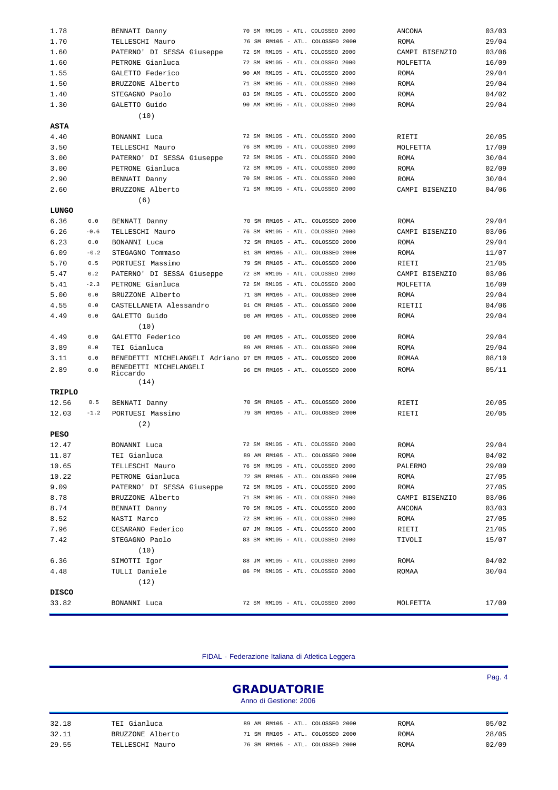| 1.78           |        | BENNATI Danny                                                   |  |  | 70 SM RM105 - ATL. COLOSSEO 2000 | ANCONA          | 03/03 |
|----------------|--------|-----------------------------------------------------------------|--|--|----------------------------------|-----------------|-------|
| 1.70           |        | TELLESCHI Mauro                                                 |  |  | 76 SM RM105 - ATL. COLOSSEO 2000 | <b>ROMA</b>     | 29/04 |
| 1.60           |        | PATERNO' DI SESSA Giuseppe                                      |  |  | 72 SM RM105 - ATL. COLOSSEO 2000 | CAMPI BISENZIO  | 03/06 |
| 1.60           |        | PETRONE Gianluca                                                |  |  | 72 SM RM105 - ATL. COLOSSEO 2000 | MOLFETTA        | 16/09 |
| 1.55           |        | GALETTO Federico                                                |  |  | 90 AM RM105 - ATL. COLOSSEO 2000 | <b>ROMA</b>     | 29/04 |
| 1.50           |        | BRUZZONE Alberto                                                |  |  | 71 SM RM105 - ATL. COLOSSEO 2000 | ROMA            | 29/04 |
| 1.40           |        | STEGAGNO Paolo                                                  |  |  | 83 SM RM105 - ATL. COLOSSEO 2000 | ROMA            | 04/02 |
| 1.30           |        | GALETTO Guido                                                   |  |  | 90 AM RM105 - ATL. COLOSSEO 2000 | ROMA            | 29/04 |
|                |        | (10)                                                            |  |  |                                  |                 |       |
| <b>ASTA</b>    |        |                                                                 |  |  |                                  |                 |       |
| 4.40           |        | BONANNI Luca                                                    |  |  | 72 SM RM105 - ATL. COLOSSEO 2000 | RIETI           | 20/05 |
| 3.50           |        | TELLESCHI Mauro                                                 |  |  | 76 SM RM105 - ATL. COLOSSEO 2000 | MOLFETTA        | 17/09 |
| 3.00           |        | PATERNO' DI SESSA Giuseppe                                      |  |  | 72 SM RM105 - ATL. COLOSSEO 2000 | <b>ROMA</b>     | 30/04 |
| 3.00           |        | PETRONE Gianluca                                                |  |  | 72 SM RM105 - ATL. COLOSSEO 2000 | ROMA            | 02/09 |
| 2.90           |        | BENNATI Danny                                                   |  |  | 70 SM RM105 - ATL. COLOSSEO 2000 | ROMA            | 30/04 |
| 2.60           |        | BRUZZONE Alberto                                                |  |  | 71 SM RM105 - ATL. COLOSSEO 2000 | CAMPI BISENZIO  | 04/06 |
|                |        | (6)                                                             |  |  |                                  |                 |       |
| LUNGO          |        |                                                                 |  |  |                                  |                 |       |
| 6.36           | 0.0    | BENNATI Danny                                                   |  |  | 70 SM RM105 - ATL. COLOSSEO 2000 | ROMA            | 29/04 |
| 6.26           | $-0.6$ | TELLESCHI Mauro                                                 |  |  | 76 SM RM105 - ATL. COLOSSEO 2000 | CAMPI BISENZIO  | 03/06 |
| 6.23           | 0.0    | BONANNI Luca                                                    |  |  | 72 SM RM105 - ATL. COLOSSEO 2000 | <b>ROMA</b>     | 29/04 |
| 6.09           | $-0.2$ | STEGAGNO Tommaso                                                |  |  | 81 SM RM105 - ATL. COLOSSEO 2000 | ROMA            | 11/07 |
| 5.70           | 0.5    | PORTUESI Massimo                                                |  |  | 79 SM RM105 - ATL. COLOSSEO 2000 | RIETI           | 21/05 |
| 5.47           | 0.2    | PATERNO' DI SESSA Giuseppe                                      |  |  | 72 SM RM105 - ATL. COLOSSEO 2000 | CAMPI BISENZIO  | 03/06 |
| 5.41           | $-2.3$ | PETRONE Gianluca                                                |  |  | 72 SM RM105 - ATL. COLOSSEO 2000 | MOLFETTA        | 16/09 |
| 5.00           | 0.0    | BRUZZONE Alberto                                                |  |  | 71 SM RM105 - ATL. COLOSSEO 2000 | <b>ROMA</b>     | 29/04 |
| 4.55           | 0.0    | CASTELLANETA Alessandro                                         |  |  | 91 CM RM105 - ATL. COLOSSEO 2000 | RIETII          | 04/06 |
| 4.49           | 0.0    | GALETTO Guido                                                   |  |  | 90 AM RM105 - ATL. COLOSSEO 2000 | <b>ROMA</b>     | 29/04 |
|                |        | (10)                                                            |  |  |                                  |                 |       |
| 4.49           | 0.0    | GALETTO Federico                                                |  |  | 90 AM RM105 - ATL. COLOSSEO 2000 | ROMA            | 29/04 |
| 3.89           | 0.0    | TEI Gianluca                                                    |  |  | 89 AM RM105 - ATL. COLOSSEO 2000 | ROMA            | 29/04 |
| 3.11           | 0.0    | BENEDETTI MICHELANGELI Adriano 97 EM RM105 - ATL. COLOSSEO 2000 |  |  |                                  | ROMAA           | 08/10 |
| 2.89           | 0.0    | BENEDETTI MICHELANGELI                                          |  |  | 96 EM RM105 - ATL. COLOSSEO 2000 | ROMA            | 05/11 |
|                |        | Riccardo<br>(14)                                                |  |  |                                  |                 |       |
| TRIPLO         |        |                                                                 |  |  |                                  |                 |       |
| 12.56          | 0.5    | BENNATI Danny                                                   |  |  | 70 SM RM105 - ATL. COLOSSEO 2000 | RIETI           | 20/05 |
| 12.03          | $-1.2$ | PORTUESI Massimo                                                |  |  | 79 SM RM105 - ATL. COLOSSEO 2000 | RIETI           | 20/05 |
|                |        | (2)                                                             |  |  |                                  |                 |       |
| <b>PESO</b>    |        |                                                                 |  |  |                                  |                 |       |
|                |        |                                                                 |  |  | 72 SM RM105 - ATL. COLOSSEO 2000 | <b>ROMA</b>     | 29/04 |
| 12.47<br>11.87 |        | BONANNI Luca<br>TEI Gianluca                                    |  |  | 89 AM RM105 - ATL. COLOSSEO 2000 | ROMA            | 04/02 |
| 10.65          |        | TELLESCHI Mauro                                                 |  |  | 76 SM RM105 - ATL. COLOSSEO 2000 |                 | 29/09 |
| 10.22          |        | PETRONE Gianluca                                                |  |  | 72 SM RM105 - ATL. COLOSSEO 2000 | PALERMO<br>ROMA | 27/05 |
| 9.09           |        | PATERNO' DI SESSA Giuseppe                                      |  |  | 72 SM RM105 - ATL. COLOSSEO 2000 | ROMA            | 27/05 |
|                |        | BRUZZONE Alberto                                                |  |  | 71 SM RM105 - ATL. COLOSSEO 2000 | CAMPI BISENZIO  | 03/06 |
| 8.78<br>8.74   |        |                                                                 |  |  | 70 SM RM105 - ATL. COLOSSEO 2000 | ANCONA          | 03/03 |
|                |        | BENNATI Danny                                                   |  |  | 72 SM RM105 - ATL. COLOSSEO 2000 |                 | 27/05 |
| 8.52           |        | NASTI Marco<br>CESARANO Federico                                |  |  | 87 JM RM105 - ATL. COLOSSEO 2000 | ROMA            |       |
| 7.96           |        |                                                                 |  |  |                                  | RIETI           | 21/05 |
| 7.42           |        | STEGAGNO Paolo                                                  |  |  | 83 SM RM105 - ATL. COLOSSEO 2000 | TIVOLI          | 15/07 |
|                |        | (10)                                                            |  |  |                                  |                 |       |
| 6.36           |        | SIMOTTI Igor                                                    |  |  | 88 JM RM105 - ATL. COLOSSEO 2000 | ROMA            | 04/02 |
| 4.48           |        | TULLI Daniele                                                   |  |  | 86 PM RM105 - ATL. COLOSSEO 2000 | ROMAA           | 30/04 |
|                |        | (12)                                                            |  |  |                                  |                 |       |
| <b>DISCO</b>   |        |                                                                 |  |  |                                  |                 |       |
| 33.82          |        | BONANNI Luca                                                    |  |  | 72 SM RM105 - ATL. COLOSSEO 2000 | MOLFETTA        | 17/09 |

FIDAL - Federazione Italiana di Atletica Leggera

|       |                  | <b>GRADUATORIE</b><br>Anno di Gestione: 2006 | Pag. 4 |
|-------|------------------|----------------------------------------------|--------|
| 32.18 | TEI Gianluca     | 89 AM RM105 - ATL. COLOSSEO 2000<br>ROMA     | 05/02  |
| 32.11 | BRUZZONE Alberto | 71 SM RM105 - ATL. COLOSSEO 2000<br>ROMA     | 28/05  |
| 29.55 | TELLESCHI Mauro  | 76 SM RM105 - ATL. COLOSSEO 2000<br>ROMA     | 02/09  |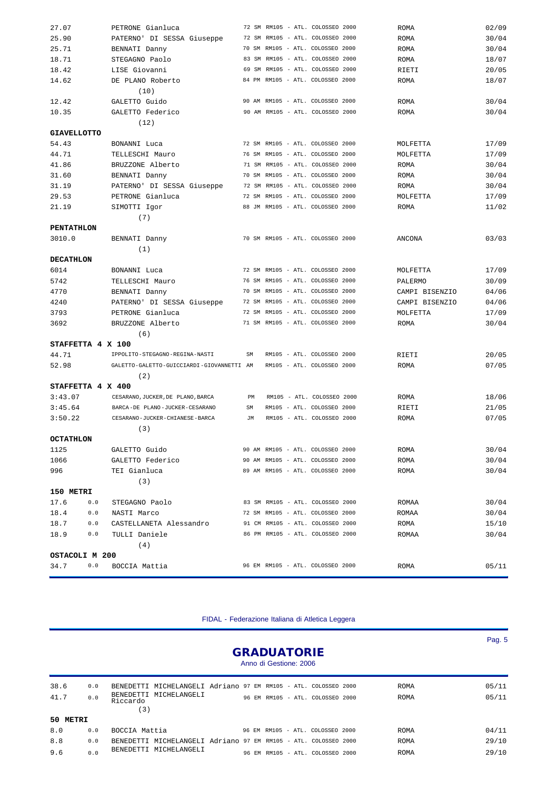| 27.07              | PETRONE Gianluca                          |    |  | 72 SM RM105 - ATL. COLOSSEO 2000 | <b>ROMA</b>    | 02/09          |
|--------------------|-------------------------------------------|----|--|----------------------------------|----------------|----------------|
| 25.90              | PATERNO' DI SESSA Giuseppe                |    |  | 72 SM RM105 - ATL. COLOSSEO 2000 | <b>ROMA</b>    | 30/04          |
| 25.71              | BENNATI Danny                             |    |  | 70 SM RM105 - ATL. COLOSSEO 2000 | ROMA           | 30/04          |
| 18.71              | STEGAGNO Paolo                            |    |  | 83 SM RM105 - ATL. COLOSSEO 2000 | ROMA           | 18/07          |
| 18.42              | LISE Giovanni                             |    |  | 69 SM RM105 - ATL. COLOSSEO 2000 | RIETI          | 20/05          |
| 14.62              | DE PLANO Roberto                          |    |  | 84 PM RM105 - ATL. COLOSSEO 2000 | ROMA           | 18/07          |
|                    | (10)                                      |    |  |                                  |                |                |
| 12.42              | GALETTO Guido                             |    |  | 90 AM RM105 - ATL. COLOSSEO 2000 | ROMA           | 30/04          |
| 10.35              | GALETTO Federico                          |    |  | 90 AM RM105 - ATL. COLOSSEO 2000 | ROMA           | 30/04          |
|                    | (12)                                      |    |  |                                  |                |                |
| <b>GIAVELLOTTO</b> |                                           |    |  |                                  |                |                |
| 54.43              | BONANNI Luca                              |    |  | 72 SM RM105 - ATL. COLOSSEO 2000 | MOLFETTA       | 17/09          |
| 44.71              | TELLESCHI Mauro                           |    |  | 76 SM RM105 - ATL. COLOSSEO 2000 | MOLFETTA       | 17/09          |
| 41.86              | BRUZZONE Alberto                          |    |  | 71 SM RM105 - ATL. COLOSSEO 2000 | ROMA           | 30/04          |
| 31.60              | BENNATI Danny                             |    |  | 70 SM RM105 - ATL. COLOSSEO 2000 | ROMA           | 30/04          |
| 31.19              | PATERNO' DI SESSA Giuseppe                |    |  | 72 SM RM105 - ATL. COLOSSEO 2000 | ROMA           | 30/04          |
| 29.53              | PETRONE Gianluca                          |    |  | 72 SM RM105 - ATL. COLOSSEO 2000 | MOLFETTA       | 17/09          |
| 21.19              | SIMOTTI Igor                              |    |  | 88 JM RM105 - ATL. COLOSSEO 2000 | ROMA           | 11/02          |
|                    | (7)                                       |    |  |                                  |                |                |
| <b>PENTATHLON</b>  |                                           |    |  |                                  |                |                |
| 3010.0             | BENNATI Danny                             |    |  | 70 SM RM105 - ATL. COLOSSEO 2000 | ANCONA         | 03/03          |
|                    | (1)                                       |    |  |                                  |                |                |
| <b>DECATHLON</b>   |                                           |    |  |                                  |                |                |
| 6014               | BONANNI Luca                              |    |  | 72 SM RM105 - ATL. COLOSSEO 2000 | MOLFETTA       | 17/09          |
| 5742               | TELLESCHI Mauro                           |    |  | 76 SM RM105 - ATL. COLOSSEO 2000 | PALERMO        | 30/09          |
| 4770               | BENNATI Danny                             |    |  | 70 SM RM105 - ATL. COLOSSEO 2000 | CAMPI BISENZIO | 04/06          |
| 4240               | PATERNO' DI SESSA Giuseppe                |    |  | 72 SM RM105 - ATL. COLOSSEO 2000 | CAMPI BISENZIO | 04/06          |
| 3793               | PETRONE Gianluca                          |    |  | 72 SM RM105 - ATL. COLOSSEO 2000 | MOLFETTA       | 17/09          |
| 3692               | BRUZZONE Alberto                          |    |  | 71 SM RM105 - ATL. COLOSSEO 2000 | ROMA           | 30/04          |
|                    | (6)                                       |    |  |                                  |                |                |
|                    | STAFFETTA 4 X 100                         |    |  |                                  |                |                |
| 44.71              | IPPOLITO-STEGAGNO-REGINA-NASTI            | SM |  | RM105 - ATL. COLOSSEO 2000       | RIETI          | 20/05          |
| 52.98              | GALETTO-GALETTO-GUICCIARDI-GIOVANNETTI AM |    |  | RM105 - ATL. COLOSSEO 2000       | ROMA           | 07/05          |
|                    | (2)                                       |    |  |                                  |                |                |
|                    | STAFFETTA 4 X 400                         |    |  |                                  |                |                |
| 3:43.07            | CESARANO, JUCKER, DE PLANO, BARCA         | PM |  | RM105 - ATL. COLOSSEO 2000       |                | 18/06          |
| 3:45.64            | BARCA-DE PLANO-JUCKER-CESARANO            | SM |  | RM105 - ATL. COLOSSEO 2000       | ROMA           |                |
|                    | CESARANO-JUCKER-CHIANESE-BARCA            | JM |  | RM105 - ATL. COLOSSEO 2000       | RIETI          | 21/05<br>07/05 |
| 3:50.22            |                                           |    |  |                                  | ROMA           |                |
|                    | (3)                                       |    |  |                                  |                |                |
| <b>OCTATHLON</b>   |                                           |    |  |                                  |                |                |
| 1125               | GALETTO Guido                             |    |  | 90 AM RM105 - ATL. COLOSSEO 2000 | ROMA           | 30/04          |
| 1066               | GALETTO Federico                          |    |  | 90 AM RM105 - ATL. COLOSSEO 2000 | ROMA           | 30/04          |
| 996                | TEI Gianluca                              |    |  | 89 AM RM105 - ATL. COLOSSEO 2000 | ROMA           | 30/04          |
|                    | (3)                                       |    |  |                                  |                |                |
| 150 METRI          |                                           |    |  |                                  |                |                |
| 17.6               | 0.0<br>STEGAGNO Paolo                     |    |  | 83 SM RM105 - ATL. COLOSSEO 2000 | ROMAA          | 30/04          |
| 18.4               | 0.0<br>NASTI Marco                        |    |  | 72 SM RM105 - ATL. COLOSSEO 2000 | ROMAA          | 30/04          |
| 18.7               | 0.0<br>CASTELLANETA Alessandro            |    |  | 91 CM RM105 - ATL. COLOSSEO 2000 | ROMA           | 15/10          |
| 18.9               | 0.0<br>TULLI Daniele                      |    |  | 86 PM RM105 - ATL. COLOSSEO 2000 | ROMAA          | 30/04          |
|                    | (4)                                       |    |  |                                  |                |                |
| OSTACOLI M 200     |                                           |    |  |                                  |                |                |
| 34.7               | 0.0<br>BOCCIA Mattia                      |    |  | 96 EM RM105 - ATL. COLOSSEO 2000 | ROMA           | 05/11          |

FIDAL - Federazione Italiana di Atletica Leggera

|              |            |                                                                                                                              |  | <b>GRADUATORIE</b><br>Anno di Gestione: 2006 |                                  |              | Pag. $5$       |
|--------------|------------|------------------------------------------------------------------------------------------------------------------------------|--|----------------------------------------------|----------------------------------|--------------|----------------|
| 38.6<br>41.7 | 0.0<br>0.0 | MICHELANGELI Adriano 97 EM RM105 - ATL. COLOSSEO 2000<br>BENEDETTI<br>BENEDETTI MICHELANGELI<br>Riccardo<br>$\left(3\right)$ |  |                                              | 96 EM RM105 - ATL. COLOSSEO 2000 | ROMA<br>ROMA | 05/11<br>05/11 |
| 50 METRI     |            |                                                                                                                              |  |                                              |                                  |              |                |
| 8.0          | 0.0        | BOCCIA Mattia                                                                                                                |  |                                              | 96 EM RM105 - ATL. COLOSSEO 2000 | <b>ROMA</b>  | 04/11          |
| 8.8          | 0.0        | MICHELANGELI Adriano 97 EM RM105 - ATL. COLOSSEO 2000<br>BENEDETTI                                                           |  |                                              |                                  | ROMA         | 29/10          |
| 9.6          | 0.0        | MICHELANGELI<br><b>BENEDETTI</b>                                                                                             |  |                                              | 96 EM RM105 - ATL. COLOSSEO 2000 | <b>ROMA</b>  | 29/10          |